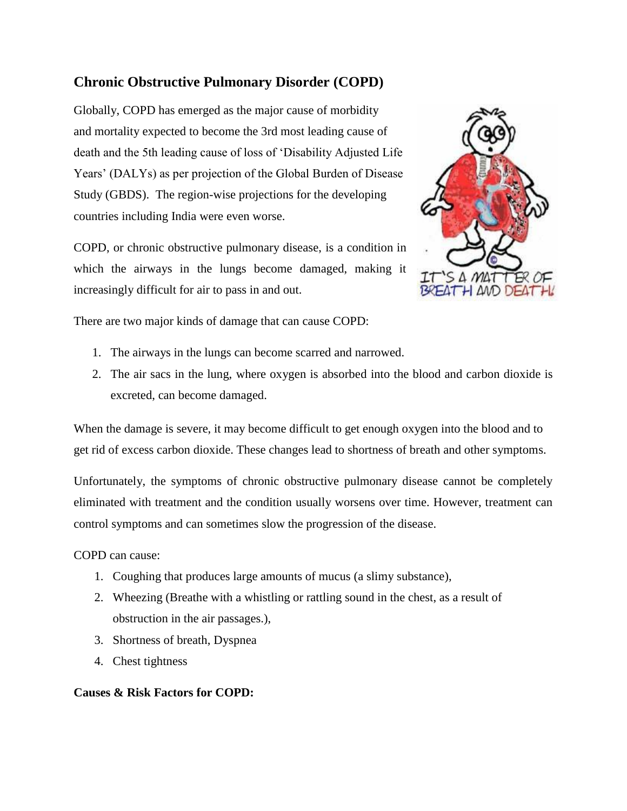# **Chronic Obstructive Pulmonary Disorder (COPD)**

Globally, COPD has emerged as the major cause of morbidity and mortality expected to become the 3rd most leading cause of death and the 5th leading cause of loss of 'Disability Adjusted Life Years' (DALYs) as per projection of the Global Burden of Disease Study (GBDS). The region-wise projections for the developing countries including India were even worse.

COPD, or chronic obstructive pulmonary disease, is a condition in which the airways in the lungs become damaged, making it increasingly difficult for air to pass in and out.



There are two major kinds of damage that can cause COPD:

- 1. The airways in the lungs can become scarred and narrowed.
- 2. The air sacs in the lung, where oxygen is absorbed into the blood and carbon dioxide is excreted, can become damaged.

When the damage is severe, it may become difficult to get enough oxygen into the blood and to get rid of excess carbon dioxide. These changes lead to shortness of breath and other symptoms.

Unfortunately, the symptoms of chronic obstructive pulmonary disease cannot be completely eliminated with treatment and the condition usually worsens over time. However, treatment can control symptoms and can sometimes slow the progression of the disease.

COPD can cause:

- 1. Coughing that produces large amounts of mucus (a slimy substance),
- 2. Wheezing (Breathe with a whistling or rattling sound in the chest, as a result of obstruction in the air passages.),
- 3. Shortness of breath, Dyspnea
- 4. Chest tightness

### **Causes & Risk Factors for COPD:**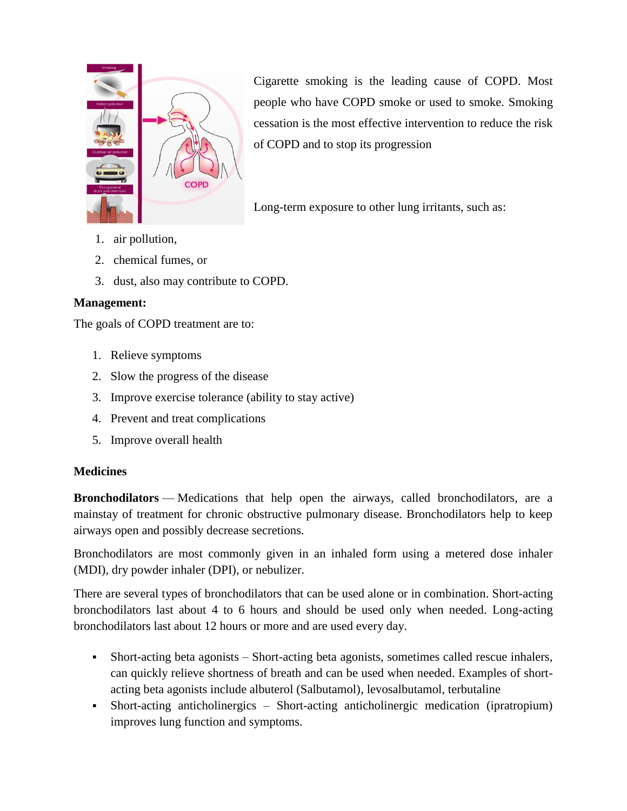

Cigarette smoking is the leading cause of COPD. Most people who have COPD smoke or used to smoke. Smoking cessation is the most effective intervention to reduce the risk of COPD and to stop its progression

Long-term exposure to other lung irritants, such as:

- 1. air pollution,
- 2. chemical fumes, or
- 3. dust, also may contribute to COPD.

## **Management:**

The goals of COPD treatment are to:

- 1. Relieve symptoms
- 2. Slow the progress of the disease
- 3. Improve exercise tolerance (ability to stay active)
- 4. Prevent and treat complications
- 5. Improve overall health

### **Medicines**

**Bronchodilators** — Medications that help open the airways, called bronchodilators, are a mainstay of treatment for chronic obstructive pulmonary disease. Bronchodilators help to keep airways open and possibly decrease secretions.

Bronchodilators are most commonly given in an inhaled form using a metered dose inhaler (MDI), dry powder inhaler (DPI), or nebulizer.

There are several types of bronchodilators that can be used alone or in combination. Short-acting bronchodilators last about 4 to 6 hours and should be used only when needed. Long-acting bronchodilators last about 12 hours or more and are used every day.

- Short-acting beta agonists Short-acting beta agonists, sometimes called rescue inhalers, can quickly relieve shortness of breath and can be used when needed. Examples of shortacting beta agonists include albuterol (Salbutamol), levosalbutamol, terbutaline
- Short-acting anticholinergics Short-acting anticholinergic medication (ipratropium) improves lung function and symptoms.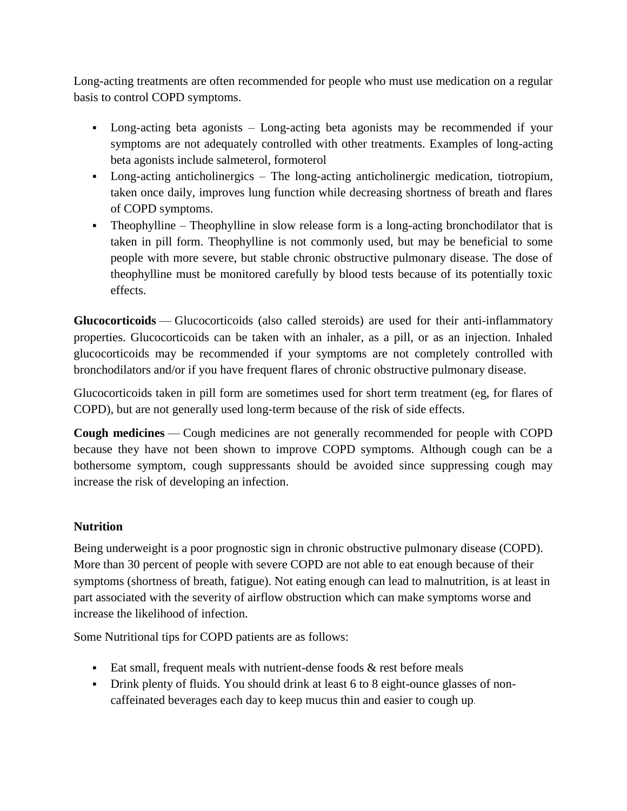Long-acting treatments are often recommended for people who must use medication on a regular basis to control COPD symptoms.

- Long-acting beta agonists Long-acting beta agonists may be recommended if your symptoms are not adequately controlled with other treatments. Examples of long-acting beta agonists include salmeterol, formoterol
- Long-acting anticholinergics The long-acting anticholinergic medication, tiotropium, taken once daily, improves lung function while decreasing shortness of breath and flares of COPD symptoms.
- Theophylline Theophylline in slow release form is a long-acting bronchodilator that is taken in pill form. Theophylline is not commonly used, but may be beneficial to some people with more severe, but stable chronic obstructive pulmonary disease. The dose of theophylline must be monitored carefully by blood tests because of its potentially toxic effects.

**Glucocorticoids** — Glucocorticoids (also called steroids) are used for their anti-inflammatory properties. Glucocorticoids can be taken with an inhaler, as a pill, or as an injection. Inhaled glucocorticoids may be recommended if your symptoms are not completely controlled with bronchodilators and/or if you have frequent flares of chronic obstructive pulmonary disease.

Glucocorticoids taken in pill form are sometimes used for short term treatment (eg, for flares of COPD), but are not generally used long-term because of the risk of side effects.

**Cough medicines** — Cough medicines are not generally recommended for people with COPD because they have not been shown to improve COPD symptoms. Although cough can be a bothersome symptom, cough suppressants should be avoided since suppressing cough may increase the risk of developing an infection.

### **Nutrition**

Being underweight is a poor prognostic sign in chronic obstructive pulmonary disease (COPD). More than 30 percent of people with severe COPD are not able to eat enough because of their symptoms (shortness of breath, fatigue). Not eating enough can lead to malnutrition, is at least in part associated with the severity of airflow obstruction which can make symptoms worse and increase the likelihood of infection.

Some Nutritional tips for COPD patients are as follows:

- Eat small, frequent meals with nutrient-dense foods  $\&$  rest before meals
- Drink plenty of fluids. You should drink at least 6 to 8 eight-ounce glasses of noncaffeinated beverages each day to keep mucus thin and easier to cough up.